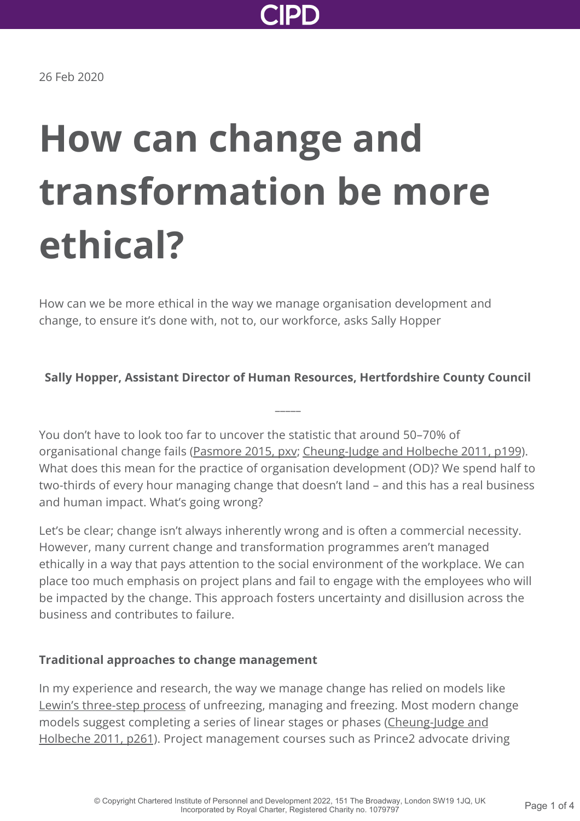

26 Feb 2020

# **How can change and transformation be more ethical?**

How can we be more ethical in the way we manage organisation development and change, to ensure it's done with, not to, our workforce, asks Sally Hopper

#### **Sally Hopper, Assistant Director of Human Resources, Hertfordshire County Council**

**\_\_\_\_\_**

You don't have to look too far to uncover the statistic that around 50–70% of organisational change fails [\(Pasmore 2015, pxv;](https://books.google.co.uk/books?hl=en&lr=&id=wY9zCQAAQBAJ&oi=fnd&pg=PP1&dq=Pasmore+2015+change+failure&ots=XwGCMZqM7x&sig=LMZjEDBSZHp6osBbSe62DU9I2dQ#v=onepage&q=Pasmore%202015%20change%20failure&f=false) [Cheung-Judge and Holbeche 2011, p199](https://www.amazon.co.uk/Organization-Development-Practitioners-Guide-OD/dp/0749460946)). What does this mean for the practice of organisation development (OD)? We spend half to two-thirds of every hour managing change that doesn't land – and this has a real business and human impact. What's going wrong?

Let's be clear; change isn't always inherently wrong and is often a commercial necessity. However, many current change and transformation programmes aren't managed ethically in a way that pays attention to the social environment of the workplace. We can place too much emphasis on project plans and fail to engage with the employees who will be impacted by the change. This approach fosters uncertainty and disillusion across the business and contributes to failure.

#### **Traditional approaches to change management**

In my experience and research, the way we manage change has relied on models like [Lewin's three-step process](https://journals.sagepub.com/doi/abs/10.1177/001872674700100103) of unfreezing, managing and freezing. Most modern change [models suggest completing a series of linear stages or phases \(Cheung-Judge and](https://www.amazon.co.uk/Organization-Development-Practitioners-Guide-OD/dp/0749460946) Holbeche 2011, p261). Project management courses such as Prince2 advocate driving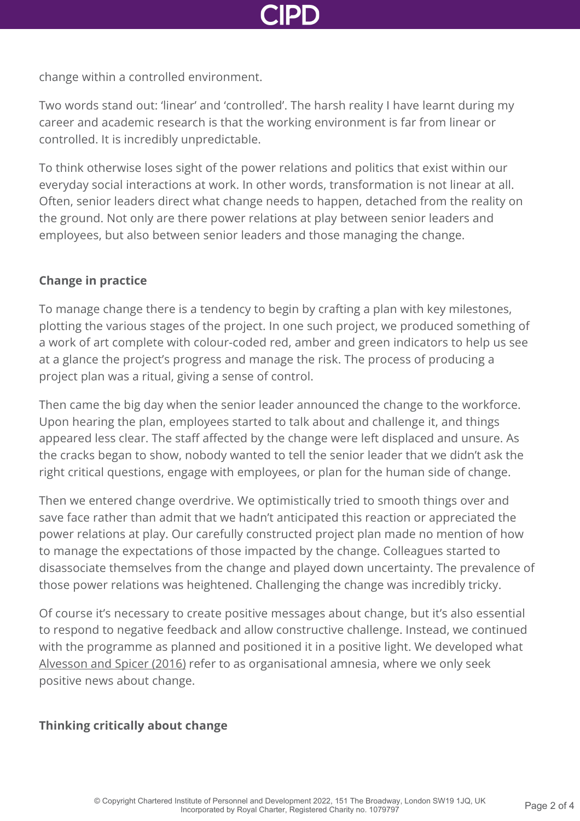

change within a controlled environment.

Two words stand out: 'linear' and 'controlled'. The harsh reality I have learnt during my career and academic research is that the working environment is far from linear or controlled. It is incredibly unpredictable.

To think otherwise loses sight of the power relations and politics that exist within our everyday social interactions at work. In other words, transformation is not linear at all. Often, senior leaders direct what change needs to happen, detached from the reality on the ground. Not only are there power relations at play between senior leaders and employees, but also between senior leaders and those managing the change.

# **Change in practice**

To manage change there is a tendency to begin by crafting a plan with key milestones, plotting the various stages of the project. In one such project, we produced something of a work of art complete with colour-coded red, amber and green indicators to help us see at a glance the project's progress and manage the risk. The process of producing a project plan was a ritual, giving a sense of control.

Then came the big day when the senior leader announced the change to the workforce. Upon hearing the plan, employees started to talk about and challenge it, and things appeared less clear. The staff affected by the change were left displaced and unsure. As the cracks began to show, nobody wanted to tell the senior leader that we didn't ask the right critical questions, engage with employees, or plan for the human side of change.

Then we entered change overdrive. We optimistically tried to smooth things over and save face rather than admit that we hadn't anticipated this reaction or appreciated the power relations at play. Our carefully constructed project plan made no mention of how to manage the expectations of those impacted by the change. Colleagues started to disassociate themselves from the change and played down uncertainty. The prevalence of those power relations was heightened. Challenging the change was incredibly tricky.

Of course it's necessary to create positive messages about change, but it's also essential to respond to negative feedback and allow constructive challenge. Instead, we continued with the programme as planned and positioned it in a positive light. We developed what [Alvesson and Spicer \(2016\)](https://www.amazon.co.uk/Stupidity-Paradox-Power-Pitfalls-Functional/dp/1781255415) refer to as organisational amnesia, where we only seek positive news about change.

## **Thinking critically about change**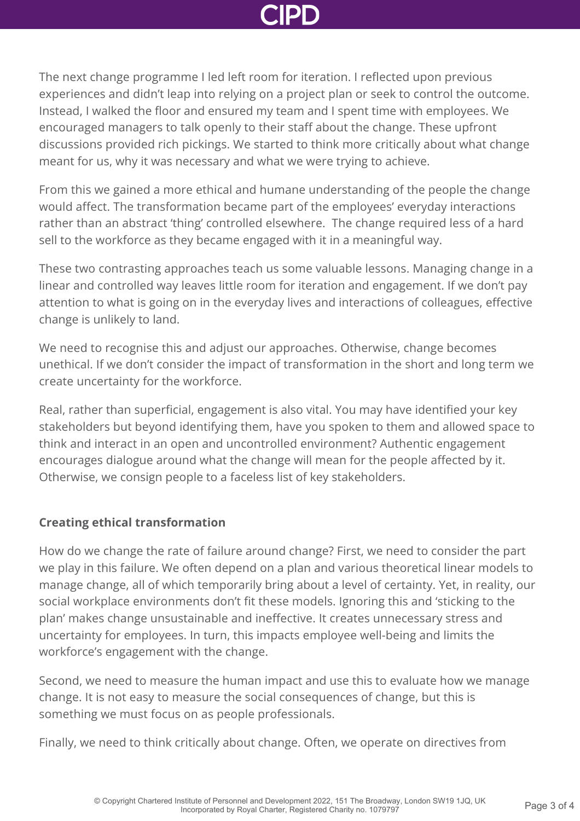

The next change programme I led left room for iteration. I reflected upon previous experiences and didn't leap into relying on a project plan or seek to control the outcome. Instead, I walked the floor and ensured my team and I spent time with employees. We encouraged managers to talk openly to their staff about the change. These upfront discussions provided rich pickings. We started to think more critically about what change meant for us, why it was necessary and what we were trying to achieve.

From this we gained a more ethical and humane understanding of the people the change would affect. The transformation became part of the employees' everyday interactions rather than an abstract 'thing' controlled elsewhere. The change required less of a hard sell to the workforce as they became engaged with it in a meaningful way.

These two contrasting approaches teach us some valuable lessons. Managing change in a linear and controlled way leaves little room for iteration and engagement. If we don't pay attention to what is going on in the everyday lives and interactions of colleagues, effective change is unlikely to land.

We need to recognise this and adjust our approaches. Otherwise, change becomes unethical. If we don't consider the impact of transformation in the short and long term we create uncertainty for the workforce.

Real, rather than superficial, engagement is also vital. You may have identified your key stakeholders but beyond identifying them, have you spoken to them and allowed space to think and interact in an open and uncontrolled environment? Authentic engagement encourages dialogue around what the change will mean for the people affected by it. Otherwise, we consign people to a faceless list of key stakeholders.

## **Creating ethical transformation**

How do we change the rate of failure around change? First, we need to consider the part we play in this failure. We often depend on a plan and various theoretical linear models to manage change, all of which temporarily bring about a level of certainty. Yet, in reality, our social workplace environments don't fit these models. Ignoring this and 'sticking to the plan' makes change unsustainable and ineffective. It creates unnecessary stress and uncertainty for employees. In turn, this impacts employee well-being and limits the workforce's engagement with the change.

Second, we need to measure the human impact and use this to evaluate how we manage change. It is not easy to measure the social consequences of change, but this is something we must focus on as people professionals.

Finally, we need to think critically about change. Often, we operate on directives from